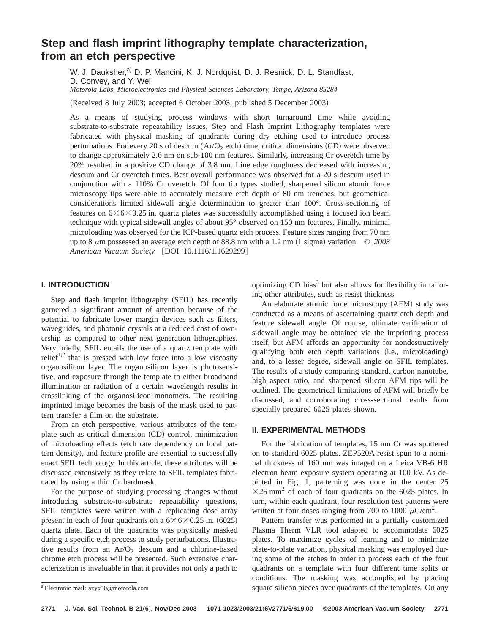# **Step and flash imprint lithography template characterization, from an etch perspective**

W. J. Dauksher,<sup>a)</sup> D. P. Mancini, K. J. Nordquist, D. J. Resnick, D. L. Standfast, D. Convey, and Y. Wei *Motorola Labs, Microelectronics and Physical Sciences Laboratory, Tempe, Arizona 85284*

(Received 8 July 2003; accepted 6 October 2003; published 5 December 2003)

As a means of studying process windows with short turnaround time while avoiding substrate-to-substrate repeatability issues, Step and Flash Imprint Lithography templates were fabricated with physical masking of quadrants during dry etching used to introduce process perturbations. For every 20 s of descum  $(Ar/O<sub>2</sub>)$  etch) time, critical dimensions  $(CD)$  were observed to change approximately 2.6 nm on sub-100 nm features. Similarly, increasing Cr overetch time by 20% resulted in a positive CD change of 3.8 nm. Line edge roughness decreased with increasing descum and Cr overetch times. Best overall performance was observed for a 20 s descum used in conjunction with a 110% Cr overetch. Of four tip types studied, sharpened silicon atomic force microscopy tips were able to accurately measure etch depth of 80 nm trenches, but geometrical considerations limited sidewall angle determination to greater than 100°. Cross-sectioning of features on  $6\times6\times0.25$  in. quartz plates was successfully accomplished using a focused ion beam technique with typical sidewall angles of about 95° observed on 150 nm features. Finally, minimal microloading was observed for the ICP-based quartz etch process. Feature sizes ranging from 70 nm up to 8  $\mu$ m possessed an average etch depth of 88.8 nm with a 1.2 nm (1 sigma) variation.  $\degree$  2003 American Vacuum Society. [DOI: 10.1116/1.1629299]

## **I. INTRODUCTION**

Step and flash imprint lithography (SFIL) has recently garnered a significant amount of attention because of the potential to fabricate lower margin devices such as filters, waveguides, and photonic crystals at a reduced cost of ownership as compared to other next generation lithographies. Very briefly, SFIL entails the use of a quartz template with relief<sup>1,2</sup> that is pressed with low force into a low viscosity organosilicon layer. The organosilicon layer is photosensitive, and exposure through the template to either broadband illumination or radiation of a certain wavelength results in crosslinking of the organosilicon monomers. The resulting imprinted image becomes the basis of the mask used to pattern transfer a film on the substrate.

From an etch perspective, various attributes of the template such as critical dimension (CD) control, minimization of microloading effects (etch rate dependency on local pattern density), and feature profile are essential to successfully enact SFIL technology. In this article, these attributes will be discussed extensively as they relate to SFIL templates fabricated by using a thin Cr hardmask.

For the purpose of studying processing changes without introducing substrate-to-substrate repeatability questions, SFIL templates were written with a replicating dose array present in each of four quadrants on a  $6 \times 6 \times 0.25$  in.  $(6025)$ quartz plate. Each of the quadrants was physically masked during a specific etch process to study perturbations. Illustrative results from an  $Ar/O_2$  descum and a chlorine-based chrome etch process will be presented. Such extensive characterization is invaluable in that it provides not only a path to optimizing  $CD$  bias<sup>3</sup> but also allows for flexibility in tailoring other attributes, such as resist thickness.

An elaborate atomic force microscopy (AFM) study was conducted as a means of ascertaining quartz etch depth and feature sidewall angle. Of course, ultimate verification of sidewall angle may be obtained via the imprinting process itself, but AFM affords an opportunity for nondestructively qualifying both etch depth variations (i.e., microloading) and, to a lesser degree, sidewall angle on SFIL templates. The results of a study comparing standard, carbon nanotube, high aspect ratio, and sharpened silicon AFM tips will be outlined. The geometrical limitations of AFM will briefly be discussed, and corroborating cross-sectional results from specially prepared 6025 plates shown.

## **II. EXPERIMENTAL METHODS**

For the fabrication of templates, 15 nm Cr was sputtered on to standard 6025 plates. ZEP520A resist spun to a nominal thickness of 160 nm was imaged on a Leica VB-6 HR electron beam exposure system operating at 100 kV. As depicted in Fig. 1, patterning was done in the center 25  $\times$ 25 mm<sup>2</sup> of each of four quadrants on the 6025 plates. In turn, within each quadrant, four resolution test patterns were written at four doses ranging from 700 to 1000  $\mu$ C/cm<sup>2</sup>.

Pattern transfer was performed in a partially customized Plasma Therm VLR tool adapted to accommodate 6025 plates. To maximize cycles of learning and to minimize plate-to-plate variation, physical masking was employed during some of the etches in order to process each of the four quadrants on a template with four different time splits or conditions. The masking was accomplished by placing square silicon pieces over quadrants of the templates. On any

a)Electronic mail: axyx50@motorola.com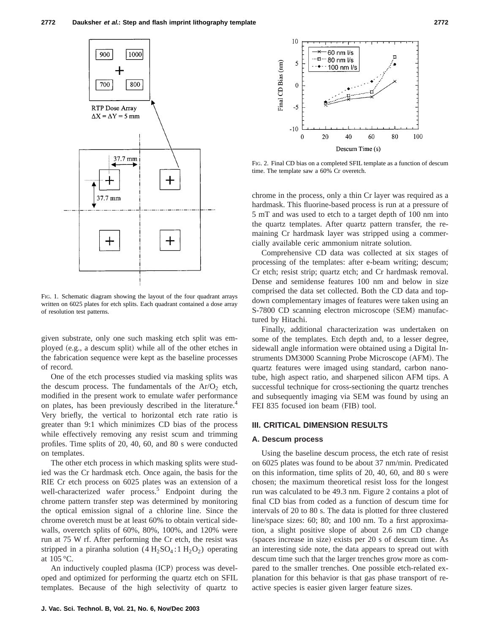

FIG. 1. Schematic diagram showing the layout of the four quadrant arrays written on 6025 plates for etch splits. Each quadrant contained a dose array of resolution test patterns.

given substrate, only one such masking etch split was employed (e.g., a descum split) while all of the other etches in the fabrication sequence were kept as the baseline processes of record.

One of the etch processes studied via masking splits was the descum process. The fundamentals of the  $Ar/O<sub>2</sub>$  etch, modified in the present work to emulate wafer performance on plates, has been previously described in the literature.<sup>4</sup> Very briefly, the vertical to horizontal etch rate ratio is greater than 9:1 which minimizes CD bias of the process while effectively removing any resist scum and trimming profiles. Time splits of 20, 40, 60, and 80 s were conducted on templates.

The other etch process in which masking splits were studied was the Cr hardmask etch. Once again, the basis for the RIE Cr etch process on 6025 plates was an extension of a well-characterized wafer process.<sup>5</sup> Endpoint during the chrome pattern transfer step was determined by monitoring the optical emission signal of a chlorine line. Since the chrome overetch must be at least 60% to obtain vertical sidewalls, overetch splits of 60%, 80%, 100%, and 120% were run at 75 W rf. After performing the Cr etch, the resist was stripped in a piranha solution  $(4 H_2SO_4:1 H_2O_2)$  operating at 105 °C.

An inductively coupled plasma (ICP) process was developed and optimized for performing the quartz etch on SFIL templates. Because of the high selectivity of quartz to



FIG. 2. Final CD bias on a completed SFIL template as a function of descum time. The template saw a 60% Cr overetch.

chrome in the process, only a thin Cr layer was required as a hardmask. This fluorine-based process is run at a pressure of 5 mT and was used to etch to a target depth of 100 nm into the quartz templates. After quartz pattern transfer, the remaining Cr hardmask layer was stripped using a commercially available ceric ammonium nitrate solution.

Comprehensive CD data was collected at six stages of processing of the templates: after e-beam writing; descum; Cr etch; resist strip; quartz etch; and Cr hardmask removal. Dense and semidense features 100 nm and below in size comprised the data set collected. Both the CD data and topdown complementary images of features were taken using an S-7800 CD scanning electron microscope (SEM) manufactured by Hitachi.

Finally, additional characterization was undertaken on some of the templates. Etch depth and, to a lesser degree, sidewall angle information were obtained using a Digital Instruments DM3000 Scanning Probe Microscope (AFM). The quartz features were imaged using standard, carbon nanotube, high aspect ratio, and sharpened silicon AFM tips. A successful technique for cross-sectioning the quartz trenches and subsequently imaging via SEM was found by using an FEI 835 focused ion beam (FIB) tool.

### **III. CRITICAL DIMENSION RESULTS**

## **A. Descum process**

Using the baseline descum process, the etch rate of resist on 6025 plates was found to be about 37 nm/min. Predicated on this information, time splits of 20, 40, 60, and 80 s were chosen; the maximum theoretical resist loss for the longest run was calculated to be 49.3 nm. Figure 2 contains a plot of final CD bias from coded as a function of descum time for intervals of 20 to 80 s. The data is plotted for three clustered line/space sizes: 60; 80; and 100 nm. To a first approximation, a slight positive slope of about 2.6 nm CD change  $(space increase in size) exists per 20 s of the decimal time. As$ an interesting side note, the data appears to spread out with descum time such that the larger trenches grow more as compared to the smaller trenches. One possible etch-related explanation for this behavior is that gas phase transport of reactive species is easier given larger feature sizes.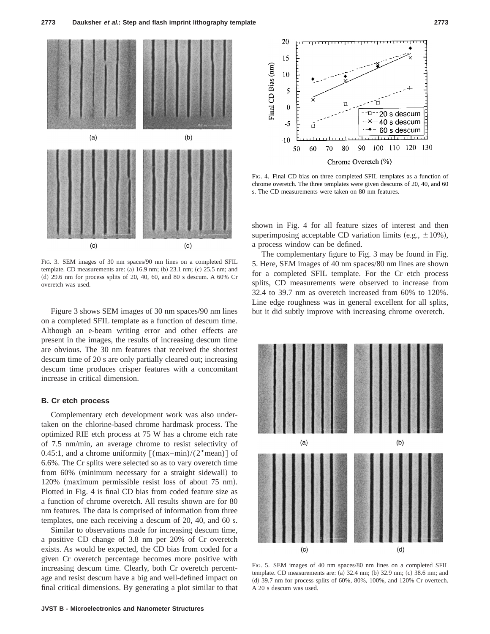

FIG. 3. SEM images of 30 nm spaces/90 nm lines on a completed SFIL template. CD measurements are: (a)  $16.9$  nm; (b)  $23.1$  nm; (c)  $25.5$  nm; and (d) 29.6 nm for process splits of 20, 40, 60, and 80 s descum. A  $60\%$  Cr overetch was used.

Figure 3 shows SEM images of 30 nm spaces/90 nm lines on a completed SFIL template as a function of descum time. Although an e-beam writing error and other effects are present in the images, the results of increasing descum time are obvious. The 30 nm features that received the shortest descum time of 20 s are only partially cleared out; increasing descum time produces crisper features with a concomitant increase in critical dimension.

#### **B. Cr etch process**

Complementary etch development work was also undertaken on the chlorine-based chrome hardmask process. The optimized RIE etch process at 75 W has a chrome etch rate of 7.5 nm/min, an average chrome to resist selectivity of 0.45:1, and a chrome uniformity  $\left[ \frac{(\text{max}-\text{min})}{2 \text{ mean}} \right]$  of 6.6%. The Cr splits were selected so as to vary overetch time from  $60\%$  (minimum necessary for a straight sidewall) to  $120\%$  (maximum permissible resist loss of about 75 nm). Plotted in Fig. 4 is final CD bias from coded feature size as a function of chrome overetch. All results shown are for 80 nm features. The data is comprised of information from three templates, one each receiving a descum of 20, 40, and 60 s.

Similar to observations made for increasing descum time, a positive CD change of 3.8 nm per 20% of Cr overetch exists. As would be expected, the CD bias from coded for a given Cr overetch percentage becomes more positive with increasing descum time. Clearly, both Cr overetch percentage and resist descum have a big and well-defined impact on final critical dimensions. By generating a plot similar to that



FIG. 4. Final CD bias on three completed SFIL templates as a function of chrome overetch. The three templates were given descums of 20, 40, and 60 s. The CD measurements were taken on 80 nm features.

shown in Fig. 4 for all feature sizes of interest and then superimposing acceptable CD variation limits (e.g.,  $\pm 10\%$ ), a process window can be defined.

The complementary figure to Fig. 3 may be found in Fig. 5. Here, SEM images of 40 nm spaces/80 nm lines are shown for a completed SFIL template. For the Cr etch process splits, CD measurements were observed to increase from 32.4 to 39.7 nm as overetch increased from 60% to 120%. Line edge roughness was in general excellent for all splits, but it did subtly improve with increasing chrome overetch.



FIG. 5. SEM images of 40 nm spaces/80 nm lines on a completed SFIL template. CD measurements are: (a)  $32.4$  nm; (b)  $32.9$  nm; (c)  $38.6$  nm; and (d) 39.7 nm for process splits of 60%, 80%, 100%, and 120% Cr overtech. A 20 s descum was used.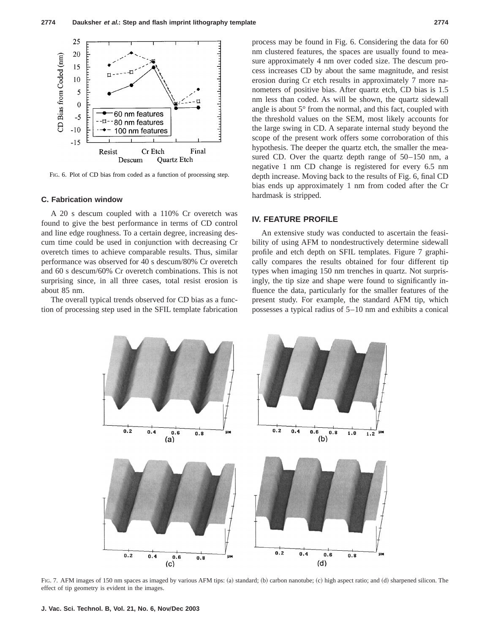

FIG. 6. Plot of CD bias from coded as a function of processing step.

#### **C. Fabrication window**

A 20 s descum coupled with a 110% Cr overetch was found to give the best performance in terms of CD control and line edge roughness. To a certain degree, increasing descum time could be used in conjunction with decreasing Cr overetch times to achieve comparable results. Thus, similar performance was observed for 40 s descum/80% Cr overetch and 60 s descum/60% Cr overetch combinations. This is not surprising since, in all three cases, total resist erosion is about 85 nm.

The overall typical trends observed for CD bias as a function of processing step used in the SFIL template fabrication process may be found in Fig. 6. Considering the data for 60 nm clustered features, the spaces are usually found to measure approximately 4 nm over coded size. The descum process increases CD by about the same magnitude, and resist erosion during Cr etch results in approximately 7 more nanometers of positive bias. After quartz etch, CD bias is 1.5 nm less than coded. As will be shown, the quartz sidewall angle is about 5° from the normal, and this fact, coupled with the threshold values on the SEM, most likely accounts for the large swing in CD. A separate internal study beyond the scope of the present work offers some corroboration of this hypothesis. The deeper the quartz etch, the smaller the measured CD. Over the quartz depth range of 50–150 nm, a negative 1 nm CD change is registered for every 6.5 nm depth increase. Moving back to the results of Fig. 6, final CD bias ends up approximately 1 nm from coded after the Cr hardmask is stripped.

## **IV. FEATURE PROFILE**

An extensive study was conducted to ascertain the feasibility of using AFM to nondestructively determine sidewall profile and etch depth on SFIL templates. Figure 7 graphically compares the results obtained for four different tip types when imaging 150 nm trenches in quartz. Not surprisingly, the tip size and shape were found to significantly influence the data, particularly for the smaller features of the present study. For example, the standard AFM tip, which possesses a typical radius of 5–10 nm and exhibits a conical



FIG. 7. AFM images of 150 nm spaces as imaged by various AFM tips: (a) standard; (b) carbon nanotube; (c) high aspect ratio; and (d) sharpened silicon. The effect of tip geometry is evident in the images.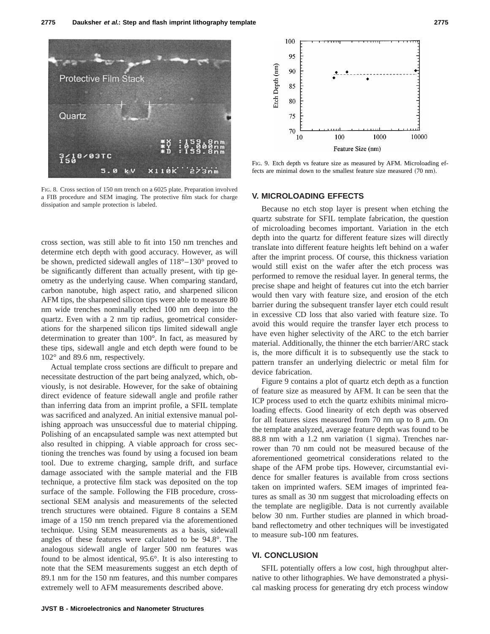

FIG. 8. Cross section of 150 nm trench on a 6025 plate. Preparation involved a FIB procedure and SEM imaging. The protective film stack for charge dissipation and sample protection is labeled.

cross section, was still able to fit into 150 nm trenches and determine etch depth with good accuracy. However, as will be shown, predicted sidewall angles of 118°–130° proved to be significantly different than actually present, with tip geometry as the underlying cause. When comparing standard, carbon nanotube, high aspect ratio, and sharpened silicon AFM tips, the sharpened silicon tips were able to measure 80 nm wide trenches nominally etched 100 nm deep into the quartz. Even with a 2 nm tip radius, geometrical considerations for the sharpened silicon tips limited sidewall angle determination to greater than 100°. In fact, as measured by these tips, sidewall angle and etch depth were found to be 102° and 89.6 nm, respectively.

Actual template cross sections are difficult to prepare and necessitate destruction of the part being analyzed, which, obviously, is not desirable. However, for the sake of obtaining direct evidence of feature sidewall angle and profile rather than inferring data from an imprint profile, a SFIL template was sacrificed and analyzed. An initial extensive manual polishing approach was unsuccessful due to material chipping. Polishing of an encapsulated sample was next attempted but also resulted in chipping. A viable approach for cross sectioning the trenches was found by using a focused ion beam tool. Due to extreme charging, sample drift, and surface damage associated with the sample material and the FIB technique, a protective film stack was deposited on the top surface of the sample. Following the FIB procedure, crosssectional SEM analysis and measurements of the selected trench structures were obtained. Figure 8 contains a SEM image of a 150 nm trench prepared via the aforementioned technique. Using SEM measurements as a basis, sidewall angles of these features were calculated to be 94.8°. The analogous sidewall angle of larger 500 nm features was found to be almost identical, 95.6°. It is also interesting to note that the SEM measurements suggest an etch depth of 89.1 nm for the 150 nm features, and this number compares extremely well to AFM measurements described above.





FIG. 9. Etch depth vs feature size as measured by AFM. Microloading effects are minimal down to the smallest feature size measured  $(70 \text{ nm})$ .

#### **V. MICROLOADING EFFECTS**

Because no etch stop layer is present when etching the quartz substrate for SFIL template fabrication, the question of microloading becomes important. Variation in the etch depth into the quartz for different feature sizes will directly translate into different feature heights left behind on a wafer after the imprint process. Of course, this thickness variation would still exist on the wafer after the etch process was performed to remove the residual layer. In general terms, the precise shape and height of features cut into the etch barrier would then vary with feature size, and erosion of the etch barrier during the subsequent transfer layer etch could result in excessive CD loss that also varied with feature size. To avoid this would require the transfer layer etch process to have even higher selectivity of the ARC to the etch barrier material. Additionally, the thinner the etch barrier/ARC stack is, the more difficult it is to subsequently use the stack to pattern transfer an underlying dielectric or metal film for device fabrication.

Figure 9 contains a plot of quartz etch depth as a function of feature size as measured by AFM. It can be seen that the ICP process used to etch the quartz exhibits minimal microloading effects. Good linearity of etch depth was observed for all features sizes measured from 70 nm up to 8  $\mu$ m. On the template analyzed, average feature depth was found to be 88.8 nm with a  $1.2$  nm variation  $(1 \text{ sigma})$ . Trenches narrower than 70 nm could not be measured because of the aforementioned geometrical considerations related to the shape of the AFM probe tips. However, circumstantial evidence for smaller features is available from cross sections taken on imprinted wafers. SEM images of imprinted features as small as 30 nm suggest that microloading effects on the template are negligible. Data is not currently available below 30 nm. Further studies are planned in which broadband reflectometry and other techniques will be investigated to measure sub-100 nm features.

## **VI. CONCLUSION**

SFIL potentially offers a low cost, high throughput alternative to other lithographies. We have demonstrated a physical masking process for generating dry etch process window